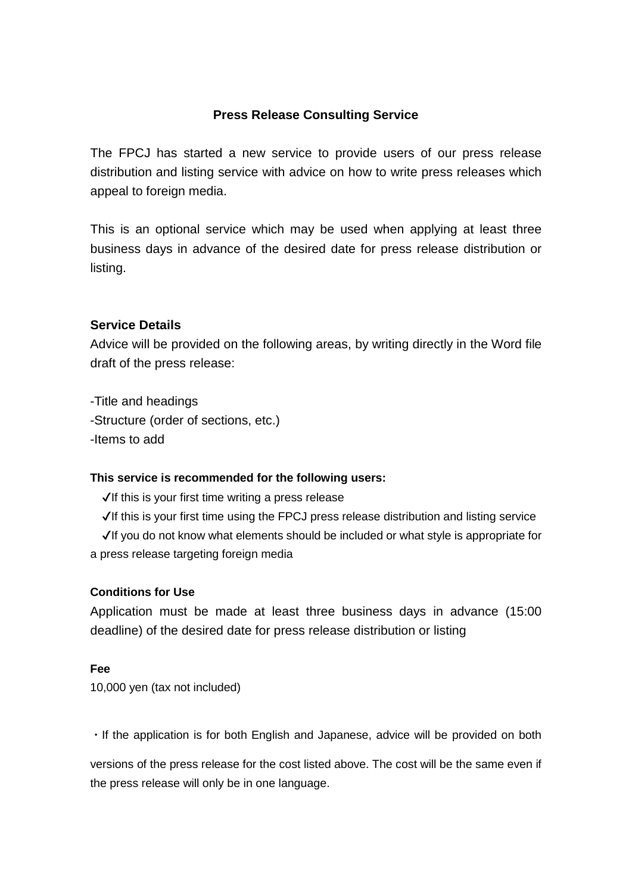# **Press Release Consulting Service**

The FPCJ has started a new service to provide users of our press release distribution and listing service with advice on how to write press releases which appeal to foreign media.

This is an optional service which may be used when applying at least three business days in advance of the desired date for press release distribution or listing.

# **Service Details**

Advice will be provided on the following areas, by writing directly in the Word file draft of the press release:

-Title and headings -Structure (order of sections, etc.) -Items to add

# **This service is recommended for the following users:**

 $\sqrt{1}$ If this is your first time writing a press release

✔If this is your first time using the FPCJ press release distribution and listing service ✔If you do not know what elements should be included or what style is appropriate for a press release targeting foreign media

# **Conditions for Use**

Application must be made at least three business days in advance (15:00 deadline) of the desired date for press release distribution or listing

# **Fee**

10,000 yen (tax not included)

・If the application is for both English and Japanese, advice will be provided on both

versions of the press release for the cost listed above. The cost will be the same even if the press release will only be in one language.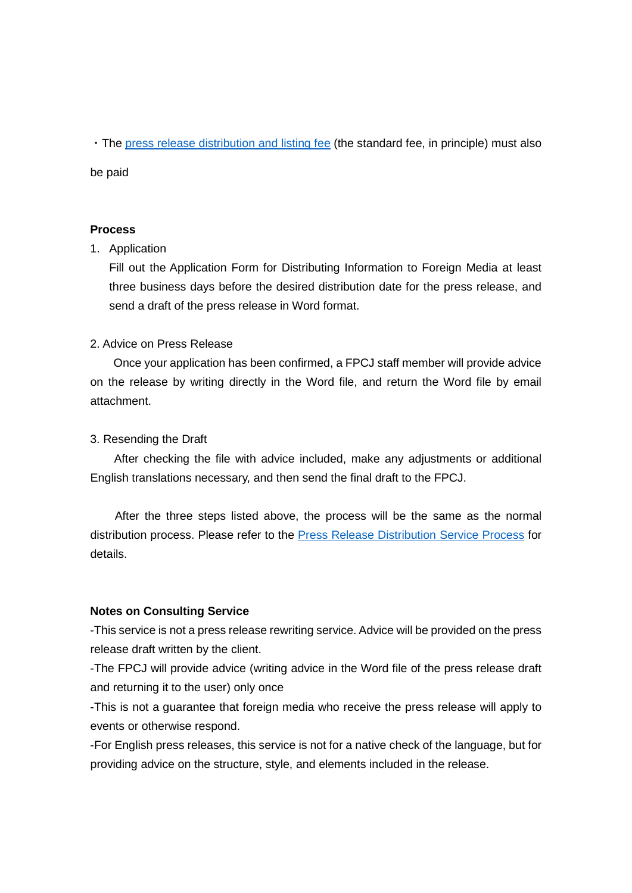・The [press release distribution](http://fpcj.jp/en/distribute/release/) and listing fee (the standard fee, in principle) must also

be paid

#### **Process**

### 1. Application

Fill out the Application Form for Distributing Information to Foreign Media at least three business days before the desired distribution date for the press release, and send a draft of the press release in Word format.

# 2. Advice on Press Release

 Once your application has been confirmed, a FPCJ staff member will provide advice on the release by writing directly in the Word file, and return the Word file by email attachment.

### 3. Resending the Draft

 After checking the file with advice included, make any adjustments or additional English translations necessary, and then send the final draft to the FPCJ.

 After the three steps listed above, the process will be the same as the normal distribution process. Please refer to the **Press Release Distribution Service Process for** details.

#### **Notes on Consulting Service**

-This service is not a press release rewriting service. Advice will be provided on the press release draft written by the client.

-The FPCJ will provide advice (writing advice in the Word file of the press release draft and returning it to the user) only once

-This is not a guarantee that foreign media who receive the press release will apply to events or otherwise respond.

-For English press releases, this service is not for a native check of the language, but for providing advice on the structure, style, and elements included in the release.